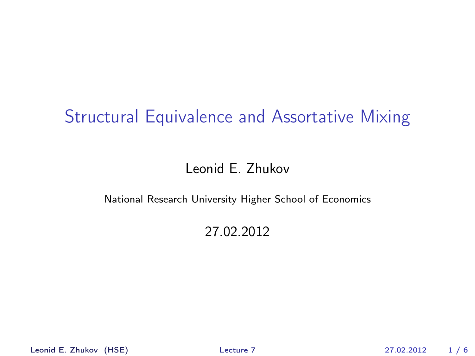# Structural Equivalence and Assortative Mixing

#### Leonid E. Zhukov

#### National Research University Higher School of Economics

#### <span id="page-0-0"></span>27.02.2012

Leonid E. Zhukov (HSE) [Lecture 7](#page-5-0) 27.02.2012 1 / 6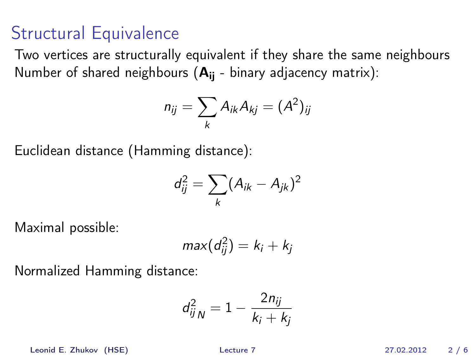## Structural Equivalence

Two vertices are structurally equivalent if they shаre the same neighbours Number of shared neighbours  $(A_{ii} - binary$  adjacency matrix):

$$
n_{ij}=\sum_k A_{ik}A_{kj}=(A^2)_{ij}
$$

Euclidean distance (Hamming distance):

$$
d_{ij}^2 = \sum_k (A_{ik} - A_{jk})^2
$$

Maximal possible:

$$
max(d_{ij}^2)=k_i+k_j
$$

Normalized Hamming distance:

$$
d_{ijN}^2 = 1 - \frac{2n_{ij}}{k_i + k_j}
$$

Leonid E. Zhukov (HSE) [Lecture 7](#page-0-0) 27.02.2012 2 / 6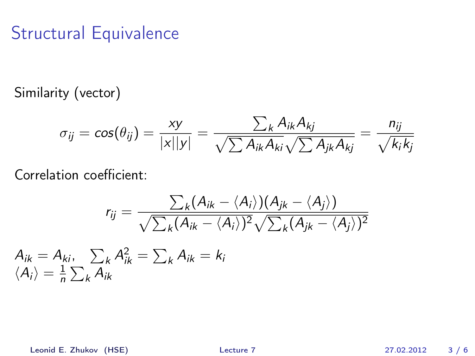## Structural Equivalence

Similarity (vector)

$$
\sigma_{ij} = \cos(\theta_{ij}) = \frac{xy}{|x||y|} = \frac{\sum_k A_{ik} A_{kj}}{\sqrt{\sum A_{ik} A_{ki}} \sqrt{\sum A_{jk} A_{kj}}} = \frac{n_{ij}}{\sqrt{k_i k_j}}
$$

Correlation coefficient:

$$
r_{ij} = \frac{\sum_{k}(A_{ik} - \langle A_{i} \rangle)(A_{jk} - \langle A_{j} \rangle)}{\sqrt{\sum_{k}(A_{ik} - \langle A_{i} \rangle)^{2}}\sqrt{\sum_{k}(A_{jk} - \langle A_{j} \rangle)^{2}}}
$$

 $A_{ik} = A_{ki}, \quad \sum_k A_{ik}^2 = \sum_k A_{ik} = k_k$  $\langle A_i \rangle = \frac{1}{n}$  $\frac{1}{n}\sum_{k}A_{ik}$ 

Leonid E. Zhukov (HSE) [Lecture 7](#page-0-0) 27.02.2012 3 / 6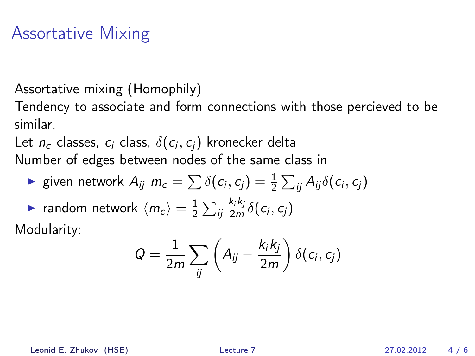#### Assortative Mixing

Assortative mixing (Homophily)

Tendency to associate and form connections with those percieved to be similar.

Let  $n_c$  classes,  $c_i$  class,  $\delta(c_i,c_j)$  kronecker delta Number of edges between nodes of the same class in

► given network 
$$
A_{ij}
$$
  $m_c = \sum \delta(c_i, c_j) = \frac{1}{2} \sum_{ij} A_{ij} \delta(c_i, c_j)$ 

**•** random network  $\langle m_c \rangle = \frac{1}{2}$  $\frac{1}{2}\sum_{ij}$  $k_{i}k_{j}$  $\frac{\kappa_i \kappa_j}{2m} \delta(c_i, c_j)$ 

Modularity:

$$
Q = \frac{1}{2m} \sum_{ij} \left( A_{ij} - \frac{k_i k_j}{2m} \right) \delta(c_i, c_j)
$$

Leonid E. Zhukov (HSE) [Lecture 7](#page-0-0) 27.02.2012 4 / 6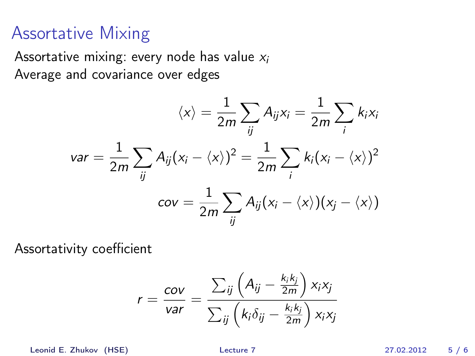#### Assortative Mixing

Assortative mixing: every node has value  $x_i$ Average and covariance over edges

$$
\langle x \rangle = \frac{1}{2m} \sum_{ij} A_{ij} x_i = \frac{1}{2m} \sum_{i} k_i x_i
$$

$$
var = \frac{1}{2m} \sum_{ij} A_{ij} (x_i - \langle x \rangle)^2 = \frac{1}{2m} \sum_{i} k_i (x_i - \langle x \rangle)^2
$$

$$
cov = \frac{1}{2m} \sum_{ij} A_{ij} (x_i - \langle x \rangle) (x_j - \langle x \rangle)
$$

Assortativity coefficient

$$
r = \frac{cov}{var} = \frac{\sum_{ij} \left( A_{ij} - \frac{k_i k_j}{2m} \right) x_i x_j}{\sum_{ij} \left( k_i \delta_{ij} - \frac{k_i k_j}{2m} \right) x_i x_j}
$$

Leonid E. Zhukov (HSE) [Lecture 7](#page-0-0) 27.02.2012 5 / 6